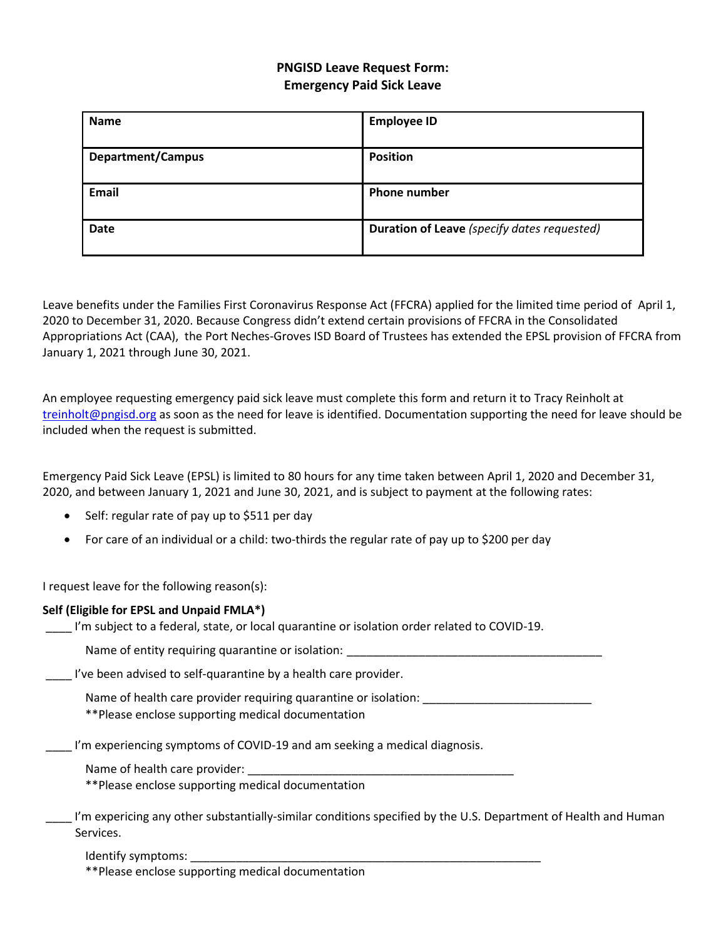# **PNGISD Leave Request Form: Emergency Paid Sick Leave**

| <b>Name</b>              | <b>Employee ID</b>                          |
|--------------------------|---------------------------------------------|
|                          |                                             |
| <b>Department/Campus</b> | <b>Position</b>                             |
|                          |                                             |
| <b>Email</b>             | <b>Phone number</b>                         |
|                          |                                             |
| <b>Date</b>              | Duration of Leave (specify dates requested) |
|                          |                                             |

Leave benefits under the Families First Coronavirus Response Act (FFCRA) applied for the limited time period of April 1, 2020 to December 31, 2020. Because Congress didn't extend certain provisions of FFCRA in the Consolidated Appropriations Act (CAA), the Port Neches-Groves ISD Board of Trustees has extended the EPSL provision of FFCRA from January 1, 2021 through June 30, 2021.

An employee requesting emergency paid sick leave must complete this form and return it to Tracy Reinholt at [treinholt@pngisd.org](mailto:treinholt@pngisd.org) as soon as the need for leave is identified. Documentation supporting the need for leave should be included when the request is submitted.

Emergency Paid Sick Leave (EPSL) is limited to 80 hours for any time taken between April 1, 2020 and December 31, 2020, and between January 1, 2021 and June 30, 2021, and is subject to payment at the following rates:

- Self: regular rate of pay up to \$511 per day
- For care of an individual or a child: two-thirds the regular rate of pay up to \$200 per day

I request leave for the following reason(s):

| Self (Eligible for EPSL and Unpaid FMLA*)<br>I'm subject to a federal, state, or local quarantine or isolation order related to COVID-19. |  |
|-------------------------------------------------------------------------------------------------------------------------------------------|--|
| Name of entity requiring quarantine or isolation:                                                                                         |  |
| I've been advised to self-quarantine by a health care provider.                                                                           |  |
| Name of health care provider requiring quarantine or isolation:<br>**Please enclose supporting medical documentation                      |  |
| I'm experiencing symptoms of COVID-19 and am seeking a medical diagnosis.                                                                 |  |
| Name of health care provider:                                                                                                             |  |
| **Please enclose supporting medical documentation                                                                                         |  |
| I'm expericing any other substantially-similar conditions specified by the U.S. Department of Health and Human<br>Services.               |  |

Identify symptoms:

\*\*Please enclose supporting medical documentation